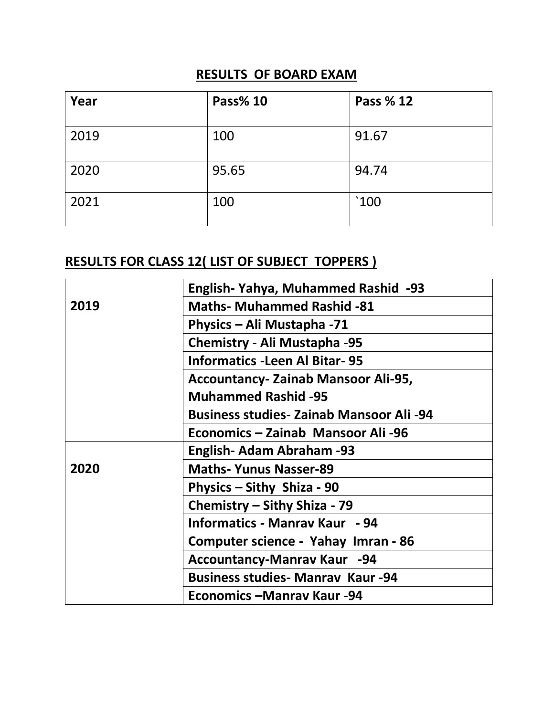## **RESULTS OF BOARD EXAM**

| Year | Pass% 10 | Pass % 12                |
|------|----------|--------------------------|
| 2019 | 100      | 91.67                    |
| 2020 | 95.65    | 94.74                    |
| 2021 | 100      | $^{\text{^{\prime}}}100$ |

## **RESULTS FOR CLASS 12( LIST OF SUBJECT TOPPERS )**

|      | English-Yahya, Muhammed Rashid -93              |
|------|-------------------------------------------------|
| 2019 | <b>Maths- Muhammed Rashid -81</b>               |
|      | Physics – Ali Mustapha -71                      |
|      | Chemistry - Ali Mustapha -95                    |
|      | <b>Informatics - Leen Al Bitar-95</b>           |
|      | <b>Accountancy- Zainab Mansoor Ali-95,</b>      |
|      | <b>Muhammed Rashid -95</b>                      |
|      | <b>Business studies- Zainab Mansoor Ali -94</b> |
|      | Economics - Zainab Mansoor Ali -96              |
|      | English- Adam Abraham -93                       |
| 2020 | <b>Maths- Yunus Nasser-89</b>                   |
|      | Physics – Sithy Shiza - 90                      |
|      | Chemistry – Sithy Shiza - 79                    |
|      | <b>Informatics - Manray Kaur</b> - 94           |
|      | Computer science - Yahay Imran - 86             |
|      | <b>Accountancy-Manrav Kaur -94</b>              |
|      | <b>Business studies- Manrav Kaur-94</b>         |
|      | Economics – Manray Kaur - 94                    |